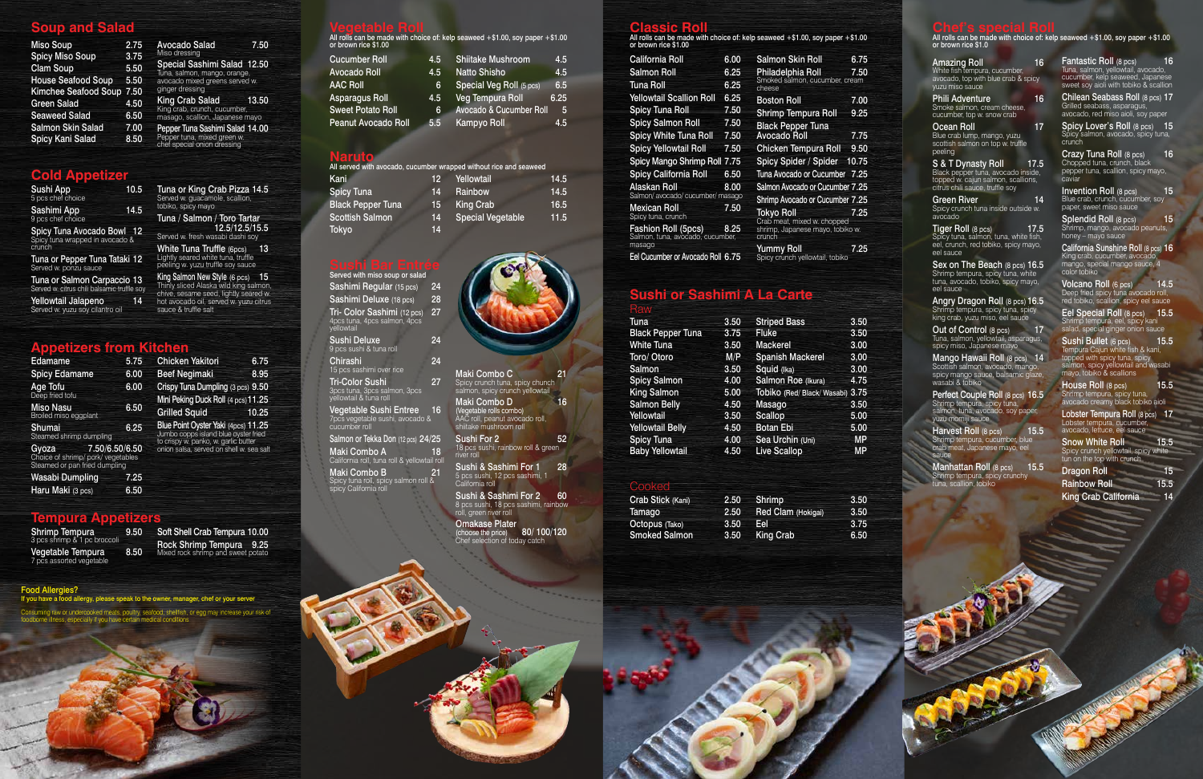# **Soup and Salad**

| <b>Miso Soup</b>            | 2.75 |
|-----------------------------|------|
| <b>Spicy Miso Soup</b>      | 3.75 |
| <b>Clam Soup</b>            | 5.50 |
| <b>House Seafood Soup</b>   | 5.50 |
| <b>Kimchee Seafood Soup</b> | 7.50 |
| <b>Green Salad</b>          | 4.50 |
| <b>Seaweed Salad</b>        | 6.50 |
| Salmon Skin Salad           | 7.00 |
| <b>Spicy Kani Salad</b>     | 8.50 |

Avocado Salad 7.50

King Crab Salad 13.50 King crab, crunch, cucumber, masago, scallion, Japanese mayo Pepper Tuna Sashimi Salad 14.00 pper tuna, mixed green w. chef special onion dressing

Special Sashimi Salad 12.50 Tuna, salmon, mango, orange, avocado mixed greens served w.

**Vegetable Roll**<br>All rolls can be made with choice of: kelp seaweed +\$1.00, soy paper +\$1.00 or brown rice \$1.00

ginger dressing

| <b>Cucumber Roll</b>     | 4.5 | <b>Shiitake Mushroom</b> | 4.5  |
|--------------------------|-----|--------------------------|------|
| Avocado Roll             | 4.5 | <b>Natto Shisho</b>      | 4.5  |
| AAC Roll                 | 6   | Special Veg Roll (5 pcs) | 6.5  |
| Asparagus Roll           | 4.5 | Veg Tempura Roll         | 6.25 |
| <b>Sweet Potato Roll</b> | 6   | Avocado & Cucumber Roll  | -5   |
| Peanut Avocado Roll      | 5.5 | <b>Kampyo Roll</b>       | 4.5  |
|                          |     |                          |      |

**Classic Roll** All rolls can be made with choice of: kelp seaweed +\$1.00, soy paper +\$1.00 or brown rice \$1.00

| <b>California Roll</b>                                  | 6.00 | <b>Salmon Skin Roll</b>                       | 6.75  |
|---------------------------------------------------------|------|-----------------------------------------------|-------|
| <b>Salmon Roll</b>                                      | 6.25 | Philadelphia Roll                             | 7.50  |
| Tuna Roll                                               | 6.25 | Smoked salmon, cucumber, cream<br>cheese      |       |
| <b>Yellowtail Scallion Roll</b>                         | 6.25 | <b>Boston Roll</b>                            | 7.00  |
| <b>Spicy Tuna Roll</b>                                  | 7.50 | <b>Shrimp Tempura Roll</b>                    | 9.25  |
| <b>Spicy Salmon Roll</b>                                | 7.50 | <b>Black Pepper Tuna</b>                      |       |
| <b>Spicy White Tuna Roll</b>                            | 7.50 | Avocado Roll                                  | 7.75  |
| <b>Spicy Yellowtail Roll</b>                            | 7.50 | <b>Chicken Tempura Roll</b>                   | 9.50  |
| Spicy Mango Shrimp Roll 7.75                            |      | Spicy Spider / Spider                         | 10.75 |
| Spicy California Roll                                   | 6.50 | Tuna Avocado or Cucumber 7.25                 |       |
| Alaskan Roll                                            | 8.00 | Salmon Avocado or Cucumber 7.25               |       |
| Salmon/avocado/cucumber/masago                          |      | Shrimp Avocado or Cucumber 7.25               |       |
| Mexican Roll<br>Spicy tuna, crunch                      | 7.50 | Tokyo Roll<br>Crab meat, mixed w. chopped     | 7.25  |
| Fashion Roll (5pcs)<br>Salmon, tuna, avocado, cucumber, | 8.25 | shrimp, Japanese mayo, tobiko w.<br>crunch    |       |
| masago<br>Eel Cucumber or Avocado Roll 6.75             |      | Yummy Roll<br>Spicy crunch yellowtail, tobiko | 7.25  |

# **Sushi or Sashimi A La Carte**

Served w. fresh wasabi dashi soy White Tuna Truffle (6pcs) 13 Lightly seared white tuna, truffle peeling w. yuzu truffle soy sauce

**Chef's special Roll** All rolls can be made with choice of: kelp seaweed +\$1.00, soy paper +\$1.00 or brown rice \$1.0

**King Salmon New Style (6 pcs) 15**<br>Thinly sliced Alaska wild king salmon, chive, sesame seed, lightly seared w. hot avocado oil, served w. yuzu citrus

### **Naruto**

 $\frac{C_1}{15}$ 

|                          |     | All served with avocado, cucumber wrapped without rice and seaweed |      |
|--------------------------|-----|--------------------------------------------------------------------|------|
| Kani                     | 12. | Yellowtail                                                         | 14.5 |
| <b>Spicy Tuna</b>        | 14  | Rainbow                                                            | 14.5 |
| <b>Black Pepper Tuna</b> | 15  | <b>King Crab</b>                                                   | 16.5 |
| <b>Scottish Salmon</b>   | 14  | <b>Special Vegetable</b>                                           | 11.5 |
| Tokyo                    | 14  |                                                                    |      |

| Raw                      |      |                                  |           |
|--------------------------|------|----------------------------------|-----------|
| Tuna                     | 3.50 | <b>Striped Bass</b>              | 3.50      |
| <b>Black Pepper Tuna</b> | 3.75 | <b>Fluke</b>                     | 3.50      |
| <b>White Tuna</b>        | 3.50 | <b>Mackerel</b>                  | 3.00      |
| Toro/ Otoro              | M/P  | <b>Spanish Mackerel</b>          | 3,00      |
| Salmon                   | 3.50 | Squid (Ika)                      | 3.00      |
| <b>Spicy Salmon</b>      | 4.00 | Salmon Roe (Ikura)               | 4.75      |
| <b>King Salmon</b>       | 5.00 | Tobiko (Red/ Black/ Wasabi) 3.75 |           |
| <b>Salmon Belly</b>      | 4.50 | Masago                           | 3.50      |
| Yellowtail               | 3.50 | <b>Scallop</b>                   | 5.00      |
| <b>Yellowtail Belly</b>  | 4.50 | <b>Botan Ebi</b>                 | 5.00      |
| <b>Spicy Tuna</b>        | 4.00 | Sea Urchin (Uni)                 | <b>MP</b> |
| <b>Baby Yellowtail</b>   | 4.50 | <b>Live Scallop</b>              | <b>MP</b> |
|                          |      |                                  |           |

Fantastic Roll (8 pcs) 16 Tuna, salmon, yellowtail, avocado, cucumber, kelp seaweed, Japanese sweet soy aioli with tobiko & scallion

| Served with miso soup or salad                                                   |    |
|----------------------------------------------------------------------------------|----|
| Sashimi Regular (15 pcs)                                                         | 24 |
| Sashimi Deluxe (18 pcs)                                                          | 28 |
| Tri- Color Sashimi (12 pcs)<br>4pcs tuna, 4pcs salmon, 4pcs<br>vellowtail        | 27 |
| Sushi Deluxe<br>9 pcs sushi & tuna roll                                          | 24 |
| Chirashi<br>15 pcs sashimi over rice                                             | 24 |
| <b>Tri-Color Sushi</b><br>3pcs tuna, 3pcs salmon, 3pcs<br>vellowtail & tuna roll | 27 |
| Vegetable Sushi Entree<br>7pcs vegetable sushi, avocado &<br>cucumber roll       | 16 |
| Salmon or Tekka Don (12 pcs) 24/25                                               |    |
| <b>Maki Combo A</b> 18<br>California roll, tuna roll & yellowtail roll           |    |
| Maki Combo B                                                                     |    |

Spicy Lover's Roll (8 pcs) 15 Spicy salmon, avocado, spicy tuna, crunch

Crazy Tuna Roll (8 pcs) 16 Chopped tuna, crunch, black pepper tuna, scallion, spicy mayo, caviar

Invention Roll (8 pcs) 15 Blue crab, crunch, cucumber, soy paper, sweet miso sauce

Splendid Roll (8 pcs) 15 Shrimp, mango, avocado peanuts, honey – mayo sauce

Maki Combo B 21 Spicy tuna roll, spicy salmon roll & spicy California roll



Volcano Roll (6 pcs) 14.5 Deep fried spicy tuna avocado roll, red tobiko, scallion, spicy eel sauce

Eel Special Roll (8 pcs) 15.5 Shrimp tempura, eel, spicy kani salad, special ginger onion sauce

House Roll (8 pcs) 15.5 Shrimp tempura, spicy tuna, avocado creamy black tobiko aioli

| <b>Sushi App</b><br>5 pcs chef choice                                      | 10.5 |
|----------------------------------------------------------------------------|------|
| <b>Sashimi App</b><br>9 pcs chef choice                                    | 14.5 |
| Spicy Tuna Avocado Bowl 12<br>Spicy tuna wrapped in avocado &<br>crunch    |      |
| Tuna or Pepper Tuna Tataki 12<br>Served w. ponzu sauce                     |      |
| Tuna or Salmon Carpaccio 13<br>Served w. citrus chili balsamic truffle soy |      |
| Yellowtail Jalapeno<br>Served w. yuzu soy cilantro oil                     | 14   |

Lobster Tempura Roll (8 pcs) 17 Lobster tempura, cucumber, avocado, lettuce, eel sauce

Tuna or King Crab Pizza 14.5 Served w. guacamole, scallion,

Phili Adventure 16 Smoke salmon, cream cheese cucumber, top w. snow crab

tobiko, spicy mayo

Ocean Roll 17 Blue crab lump, mango, yuzu scottish salmon on top w. truffle peeling

Tuna / Salmon / Toro Tartar

12.5/12.5/15.5

Miso dressing

**S & T Dynasty Roll 17.5**<br>Black pepper tuna, avocado inside, topped w. cajun salmon, scallions, citrus chili sauce, truffle soy

Green River 14 Spicy crunch tuna inside outside w. avocado

**Tiger Roll** (8 pcs) **17.5**<br>Spicy tuna, salmon, tuna, white fish, eel, crunch, red tobiko, spicy mayo, eel sauce

Sex on The Beach (8 pcs) 16.5 Shrimp tempura, spicy tuna, white tuna, avocado, tobiko, spicy mayo, eel sauce

Angry Dragon Roll (8 pcs) 16.5 Shrimp tempura, spicy tuna, spicy king crab, yuzu miso, eel sauce

Out of Control (8 pcs) 17 Tuna, salmon, yellowtail, asparagus, spicy miso, Japanese mayo

sauce & truffle salt

**Perfect Couple Roll** (8 pcs) 16.5<br>Shrimp tempura, spicy tuna, salmon, tuna, avocado, soy paper, yuzu momiji sauce

Harvest Roll (8 pcs) 15.5 Shrimp tempura, cucumber, blue crab meat, Japanese mayo, eel sauce

**Manhattan Roll** (8 pcs) 15.5<br>Shrimp tempura, spicy crunchy tuna, scallion, tobiko

| Maki Combo C<br>Spicy crunch tuna, spicy chunch<br>salmon, spicy crunch yellowtail                  | 21 |
|-----------------------------------------------------------------------------------------------------|----|
| Maki Combo D<br>(Vegetable rolls combo)<br>AAC roll, peanut avocado roll,<br>shiitake mushroom roll | 16 |
| Sushi For 2<br>18 pcs sushi, rainbow roll & green<br>river roll                                     | 52 |
| Sushi & Sashimi For 1<br>5 pcs sushi, 12 pcs sashimi, 1<br>California roll                          | 28 |
| Sushi & Sashimi For 2<br>8 pcs sushi, 18 pcs sashimi, rainbow<br>roll, green river roll             | 60 |
| Omakase Plater<br>80/100/120<br>(choose the price)<br>Chef selection of today catch                 |    |

#### Cooked

| Crab Stick (Kani) | 2.50 |
|-------------------|------|
| Tamago            | 2.50 |
| Octopus (Tako)    | 3.50 |
| Smoked Salmon     | 3.50 |

| <b>Shrimp</b>      | 3.50 |
|--------------------|------|
| Red Clam (Hokigai) | 3.50 |
| Eel                | 3.75 |
| <b>King Crab</b>   | 6.50 |



Consuming raw or undercooked meats, poultry, seafood, shellfish, or egg may increase your risk of foodborne illness, especially if you have certain medical conditions



#### Food Allergies?

If you have a food allergy, please speak to the owner, manager, chef or your server

# **Appetizers from Kitchen**

| Edamame                                                                                                                                     | 5.75 | <b>Chicken Yakitori</b>                                                                                             | 6.75  |
|---------------------------------------------------------------------------------------------------------------------------------------------|------|---------------------------------------------------------------------------------------------------------------------|-------|
| <b>Spicy Edamame</b>                                                                                                                        | 6.00 | <b>Beef Negimaki</b>                                                                                                | 8.95  |
| Age Tofu                                                                                                                                    | 6.00 | Crispy Tuna Dumpling (3 pcs) 9.50                                                                                   |       |
| Deep fried tofu                                                                                                                             |      | Mini Peking Duck Roll (4 pcs) 11.25                                                                                 |       |
| <b>Miso Nasu</b><br>Broiled miso eggplant                                                                                                   | 6.50 | <b>Grilled Squid</b>                                                                                                | 10.25 |
| 6.25<br>Shumai<br>Steamed shrimp dumpling<br>7.50/6.50/6.50<br>Gyoza<br>Choice of shrimp/ pork/ vegetables<br>Steamed or pan fried dumpling |      | Blue Point Oyster Yaki (4pcs) 11.25<br>Jumbo copps island blue oyster fried<br>to crispy w. panko, w. garlic butter |       |
|                                                                                                                                             |      | onion salsa, served on shell w. sea salt                                                                            |       |
| Wasabi Dumpling                                                                                                                             | 7.25 |                                                                                                                     |       |
| Haru Maki (3 pcs)                                                                                                                           | 6.50 |                                                                                                                     |       |

### **Tempura Appetizers**

| <b>Shrimp Tempura</b>                             | 9.50 | Soft Sh                   |
|---------------------------------------------------|------|---------------------------|
| 3 pcs shrimp & 1 pc broccoli<br>Vegetable Tempura | 8.50 | <b>Rock S</b><br>Mixed ro |
| 7 pcs assorted vegetable                          |      |                           |

ell Crab Tempura 10.00 **Rock Shrimp Tempura** 9.25<br>Mixed rock shrimp and sweet potato

Chilean Seabass Roll (8 pcs) 17 Grilled seabass, asparag avocado, red miso aioli, soy paper

California Sunshine Roll (8 pcs) 16 King crab, cucumber, avocad mango, special mango sauce, 4 color tobiko

Sushi Bullet (6 pcs) 15.5 Tempura Cajun white fish & kani, topped with spicy tuna, spicy salmon, spicy yellowtail and wasabi mayo, tobiko & scallions

Snow White Roll 15.5 Spicy crunch yellowtail, spicy white tun on the top with crunch

| <b>Dragon Roll</b>   | 15   |
|----------------------|------|
| <b>Rainbow Roll</b>  | 15.5 |
| King Crab California | 14   |

Amazing Roll 16 White fish tempura, cucumber, avocado, top with blue crab & spicy yuzu miso sauce

Mango Hawaii Roll (8 pcs) 14 Scottish salmon, avocado, mango, spicy mango sauce, balsamic glaze, wasabi & tobiko